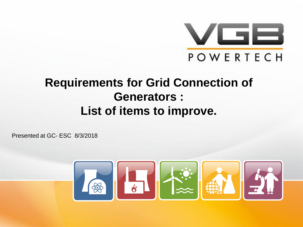

#### **Requirements for Grid Connection of Generators : List of items to improve.**

Presented at GC- ESC 8/3/2018

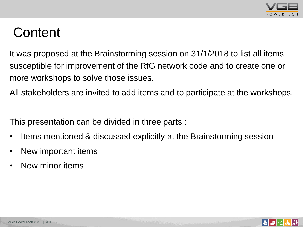

# **Content**

It was proposed at the Brainstorming session on 31/1/2018 to list all items susceptible for improvement of the RfG network code and to create one or more workshops to solve those issues.

All stakeholders are invited to add items and to participate at the workshops.

This presentation can be divided in three parts :

- Items mentioned & discussed explicitly at the Brainstorming session
- New important items
- New minor items

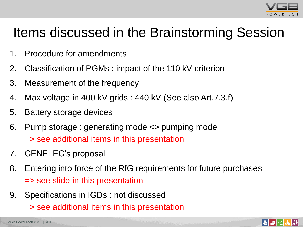

# Items discussed in the Brainstorming Session

- 1. Procedure for amendments
- 2. Classification of PGMs : impact of the 110 kV criterion
- 3. Measurement of the frequency
- 4. Max voltage in 400 kV grids : 440 kV (See also Art.7.3.f)
- 5. Battery storage devices
- 6. Pump storage : generating mode <> pumping mode => see additional items in this presentation
- 7. CENELEC's proposal
- 8. Entering into force of the RfG requirements for future purchases => see slide in this presentation
- 9. Specifications in IGDs : not discussed
	- => see additional items in this presentation

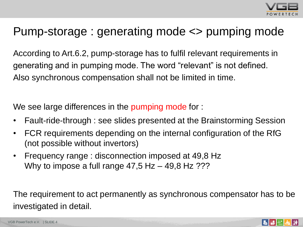

## Pump-storage : generating mode <> pumping mode

According to Art.6.2, pump-storage has to fulfil relevant requirements in generating and in pumping mode. The word "relevant" is not defined. Also synchronous compensation shall not be limited in time.

We see large differences in the pumping mode for :

- Fault-ride-through : see slides presented at the Brainstorming Session
- FCR requirements depending on the internal configuration of the RfG (not possible without invertors)
- Frequency range : disconnection imposed at 49,8 Hz Why to impose a full range  $47,5$  Hz  $-$  49,8 Hz ???

The requirement to act permanently as synchronous compensator has to be investigated in detail.

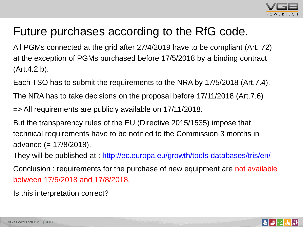

## Future purchases according to the RfG code.

All PGMs connected at the grid after 27/4/2019 have to be compliant (Art. 72) at the exception of PGMs purchased before 17/5/2018 by a binding contract (Art.4.2.b).

Each TSO has to submit the requirements to the NRA by 17/5/2018 (Art.7.4).

The NRA has to take decisions on the proposal before 17/11/2018 (Art.7.6)

=> All requirements are publicly available on 17/11/2018.

But the transparency rules of the EU (Directive 2015/1535) impose that technical requirements have to be notified to the Commission 3 months in advance  $(= 17/8/2018)$ .

They will be published at :<http://ec.europa.eu/growth/tools-databases/tris/en/>

Conclusion : requirements for the purchase of new equipment are not available between 17/5/2018 and 17/8/2018.

Is this interpretation correct?

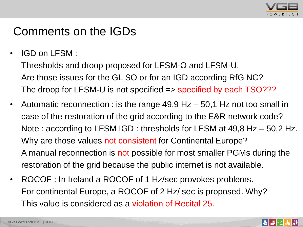

#### Comments on the IGDs

• IGD on LFSM:

Thresholds and droop proposed for LFSM-O and LFSM-U. Are those issues for the GL SO or for an IGD according RfG NC? The droop for LFSM-U is not specified => specified by each TSO???

- Automatic reconnection : is the range 49,9 Hz 50,1 Hz not too small in case of the restoration of the grid according to the E&R network code? Note : according to LFSM IGD : thresholds for LFSM at 49,8 Hz – 50,2 Hz. Why are those values not consistent for Continental Europe? A manual reconnection is not possible for most smaller PGMs during the restoration of the grid because the public internet is not available.
- ROCOF : In Ireland a ROCOF of 1 Hz/sec provokes problems. For continental Europe, a ROCOF of 2 Hz/ sec is proposed. Why? This value is considered as a violation of Recital 25.

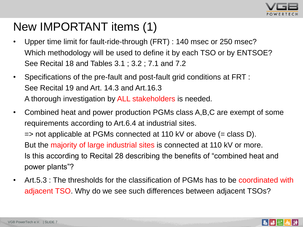

#### New IMPORTANT items (1)

- Upper time limit for fault-ride-through (FRT) : 140 msec or 250 msec? Which methodology will be used to define it by each TSO or by ENTSOE? See Recital 18 and Tables 3.1 ; 3.2 ; 7.1 and 7.2
- Specifications of the pre-fault and post-fault grid conditions at FRT : See Recital 19 and Art. 14.3 and Art.16.3 A thorough investigation by ALL stakeholders is needed.
- Combined heat and power production PGMs class A,B,C are exempt of some requirements according to Art.6.4 at industrial sites.  $\Rightarrow$  not applicable at PGMs connected at 110 kV or above (= class D). But the majority of large industrial sites is connected at 110 kV or more. Is this according to Recital 28 describing the benefits of "combined heat and power plants"?
- Art.5.3 : The thresholds for the classification of PGMs has to be coordinated with adjacent TSO. Why do we see such differences between adjacent TSOs?

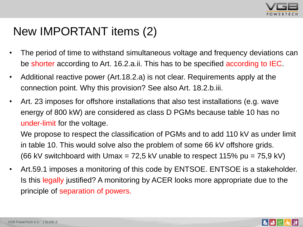

#### New IMPORTANT items (2)

- The period of time to withstand simultaneous voltage and frequency deviations can be shorter according to Art. 16.2.a.ii. This has to be specified according to IEC.
- Additional reactive power (Art.18.2.a) is not clear. Requirements apply at the connection point. Why this provision? See also Art. 18.2.b.iii.
- Art. 23 imposes for offshore installations that also test installations (e.g. wave energy of 800 kW) are considered as class D PGMs because table 10 has no under-limit for the voltage.

We propose to respect the classification of PGMs and to add 110 kV as under limit in table 10. This would solve also the problem of some 66 kV offshore grids. (66 kV switchboard with Umax = 72,5 kV unable to respect 115% pu = 75,9 kV)

• Art.59.1 imposes a monitoring of this code by ENTSOE. ENTSOE is a stakeholder. Is this legally justified? A monitoring by ACER looks more appropriate due to the principle of separation of powers.

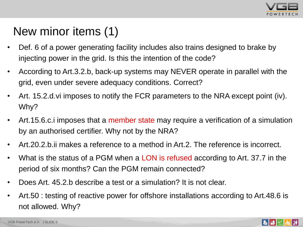

# New minor items (1)

- Def. 6 of a power generating facility includes also trains designed to brake by injecting power in the grid. Is this the intention of the code?
- According to Art.3.2.b, back-up systems may NEVER operate in parallel with the grid, even under severe adequacy conditions. Correct?
- Art. 15.2.d.vi imposes to notify the FCR parameters to the NRA except point (iv). Why?
- Art.15.6.c. i imposes that a member state may require a verification of a simulation by an authorised certifier. Why not by the NRA?
- Art.20.2.b.ii makes a reference to a method in Art.2. The reference is incorrect.
- What is the status of a PGM when a LON is refused according to Art. 37.7 in the period of six months? Can the PGM remain connected?
- Does Art. 45.2.b describe a test or a simulation? It is not clear.
- Art.50 : testing of reactive power for offshore installations according to Art.48.6 is not allowed. Why?



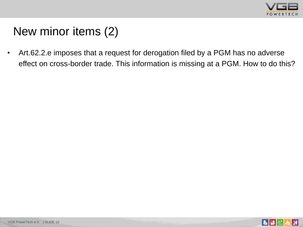

# New minor items (2)

• Art.62.2.e imposes that a request for derogation filed by a PGM has no adverse effect on cross-border trade. This information is missing at a PGM. How to do this?